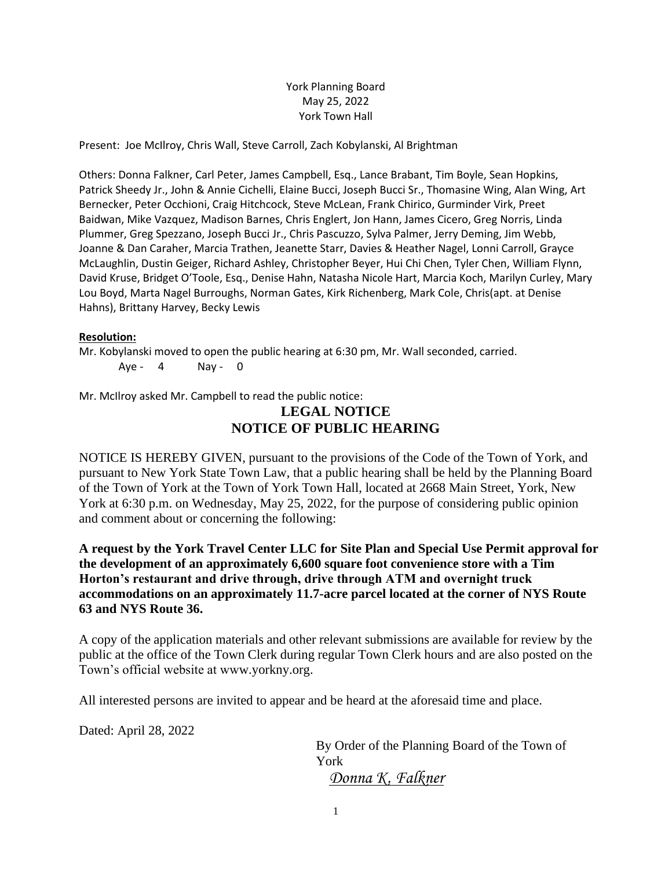### York Planning Board May 25, 2022 York Town Hall

Present: Joe McIlroy, Chris Wall, Steve Carroll, Zach Kobylanski, Al Brightman

Others: Donna Falkner, Carl Peter, James Campbell, Esq., Lance Brabant, Tim Boyle, Sean Hopkins, Patrick Sheedy Jr., John & Annie Cichelli, Elaine Bucci, Joseph Bucci Sr., Thomasine Wing, Alan Wing, Art Bernecker, Peter Occhioni, Craig Hitchcock, Steve McLean, Frank Chirico, Gurminder Virk, Preet Baidwan, Mike Vazquez, Madison Barnes, Chris Englert, Jon Hann, James Cicero, Greg Norris, Linda Plummer, Greg Spezzano, Joseph Bucci Jr., Chris Pascuzzo, Sylva Palmer, Jerry Deming, Jim Webb, Joanne & Dan Caraher, Marcia Trathen, Jeanette Starr, Davies & Heather Nagel, Lonni Carroll, Grayce McLaughlin, Dustin Geiger, Richard Ashley, Christopher Beyer, Hui Chi Chen, Tyler Chen, William Flynn, David Kruse, Bridget O'Toole, Esq., Denise Hahn, Natasha Nicole Hart, Marcia Koch, Marilyn Curley, Mary Lou Boyd, Marta Nagel Burroughs, Norman Gates, Kirk Richenberg, Mark Cole, Chris(apt. at Denise Hahns), Brittany Harvey, Becky Lewis

#### **Resolution:**

Mr. Kobylanski moved to open the public hearing at 6:30 pm, Mr. Wall seconded, carried. Aye -  $4$  Nay - 0

Mr. McIlroy asked Mr. Campbell to read the public notice:

# **LEGAL NOTICE NOTICE OF PUBLIC HEARING**

NOTICE IS HEREBY GIVEN, pursuant to the provisions of the Code of the Town of York, and pursuant to New York State Town Law, that a public hearing shall be held by the Planning Board of the Town of York at the Town of York Town Hall, located at 2668 Main Street, York, New York at 6:30 p.m. on Wednesday, May 25, 2022, for the purpose of considering public opinion and comment about or concerning the following:

**A request by the York Travel Center LLC for Site Plan and Special Use Permit approval for the development of an approximately 6,600 square foot convenience store with a Tim Horton's restaurant and drive through, drive through ATM and overnight truck accommodations on an approximately 11.7-acre parcel located at the corner of NYS Route 63 and NYS Route 36.**

A copy of the application materials and other relevant submissions are available for review by the public at the office of the Town Clerk during regular Town Clerk hours and are also posted on the Town's official website at www.yorkny.org.

All interested persons are invited to appear and be heard at the aforesaid time and place.

Dated: April 28, 2022

By Order of the Planning Board of the Town of York *Donna K. Falkner*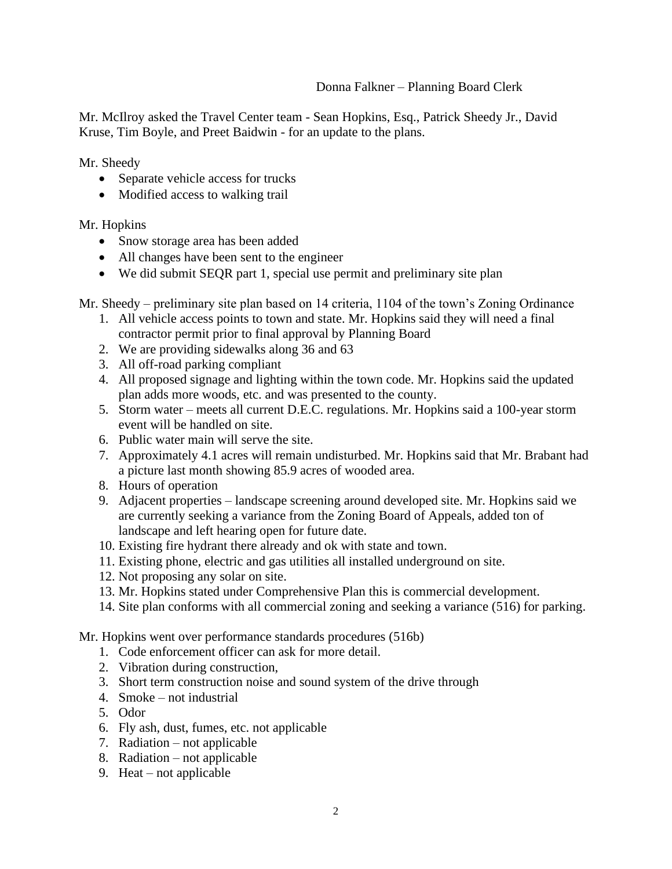# Donna Falkner – Planning Board Clerk

Mr. McIlroy asked the Travel Center team - Sean Hopkins, Esq., Patrick Sheedy Jr., David Kruse, Tim Boyle, and Preet Baidwin - for an update to the plans.

Mr. Sheedy

- Separate vehicle access for trucks
- Modified access to walking trail

# Mr. Hopkins

- Snow storage area has been added
- All changes have been sent to the engineer
- We did submit SEQR part 1, special use permit and preliminary site plan

Mr. Sheedy – preliminary site plan based on 14 criteria, 1104 of the town's Zoning Ordinance

- 1. All vehicle access points to town and state. Mr. Hopkins said they will need a final contractor permit prior to final approval by Planning Board
- 2. We are providing sidewalks along 36 and 63
- 3. All off-road parking compliant
- 4. All proposed signage and lighting within the town code. Mr. Hopkins said the updated plan adds more woods, etc. and was presented to the county.
- 5. Storm water meets all current D.E.C. regulations. Mr. Hopkins said a 100-year storm event will be handled on site.
- 6. Public water main will serve the site.
- 7. Approximately 4.1 acres will remain undisturbed. Mr. Hopkins said that Mr. Brabant had a picture last month showing 85.9 acres of wooded area.
- 8. Hours of operation
- 9. Adjacent properties landscape screening around developed site. Mr. Hopkins said we are currently seeking a variance from the Zoning Board of Appeals, added ton of landscape and left hearing open for future date.
- 10. Existing fire hydrant there already and ok with state and town.
- 11. Existing phone, electric and gas utilities all installed underground on site.
- 12. Not proposing any solar on site.
- 13. Mr. Hopkins stated under Comprehensive Plan this is commercial development.
- 14. Site plan conforms with all commercial zoning and seeking a variance (516) for parking.

Mr. Hopkins went over performance standards procedures (516b)

- 1. Code enforcement officer can ask for more detail.
- 2. Vibration during construction,
- 3. Short term construction noise and sound system of the drive through
- 4. Smoke not industrial
- 5. Odor
- 6. Fly ash, dust, fumes, etc. not applicable
- 7. Radiation not applicable
- 8. Radiation not applicable
- 9. Heat not applicable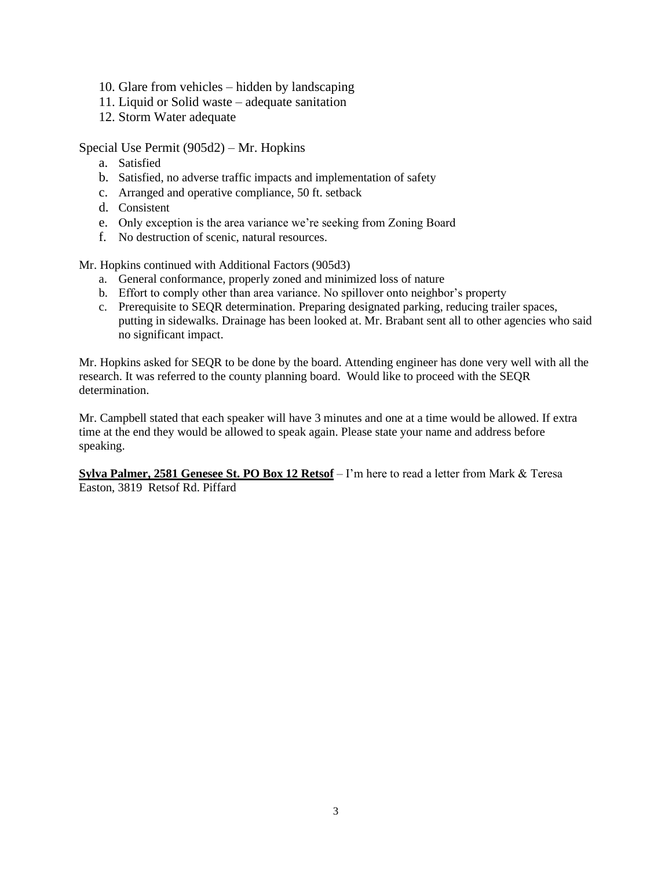- 10. Glare from vehicles hidden by landscaping
- 11. Liquid or Solid waste adequate sanitation
- 12. Storm Water adequate

Special Use Permit (905d2) – Mr. Hopkins

- a. Satisfied
- b. Satisfied, no adverse traffic impacts and implementation of safety
- c. Arranged and operative compliance, 50 ft. setback
- d. Consistent
- e. Only exception is the area variance we're seeking from Zoning Board
- f. No destruction of scenic, natural resources.

Mr. Hopkins continued with Additional Factors (905d3)

- a. General conformance, properly zoned and minimized loss of nature
- b. Effort to comply other than area variance. No spillover onto neighbor's property
- c. Prerequisite to SEQR determination. Preparing designated parking, reducing trailer spaces, putting in sidewalks. Drainage has been looked at. Mr. Brabant sent all to other agencies who said no significant impact.

Mr. Hopkins asked for SEQR to be done by the board. Attending engineer has done very well with all the research. It was referred to the county planning board. Would like to proceed with the SEQR determination.

Mr. Campbell stated that each speaker will have 3 minutes and one at a time would be allowed. If extra time at the end they would be allowed to speak again. Please state your name and address before speaking.

**Sylva Palmer, 2581 Genesee St. PO Box 12 Retsof** – I'm here to read a letter from Mark & Teresa Easton, 3819 Retsof Rd. Piffard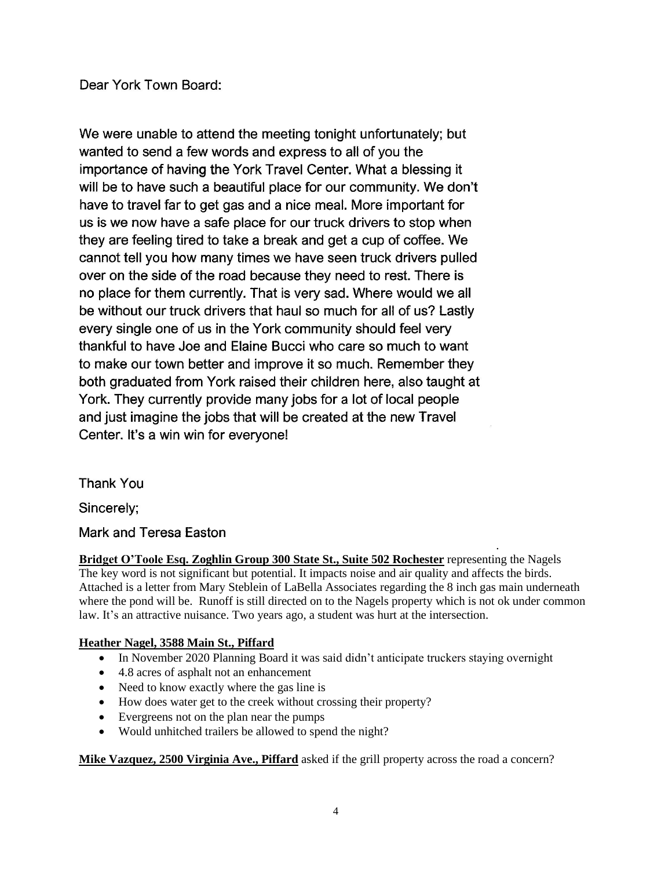Dear York Town Board:

We were unable to attend the meeting tonight unfortunately; but wanted to send a few words and express to all of you the importance of having the York Travel Center. What a blessing it will be to have such a beautiful place for our community. We don't have to travel far to get gas and a nice meal. More important for us is we now have a safe place for our truck drivers to stop when they are feeling tired to take a break and get a cup of coffee. We cannot tell you how many times we have seen truck drivers pulled over on the side of the road because they need to rest. There is no place for them currently. That is very sad. Where would we all be without our truck drivers that haul so much for all of us? Lastly every single one of us in the York community should feel very thankful to have Joe and Elaine Bucci who care so much to want to make our town better and improve it so much. Remember they both graduated from York raised their children here, also taught at York. They currently provide many jobs for a lot of local people and just imagine the jobs that will be created at the new Travel Center. It's a win win for everyone!

**Thank You** 

Sincerely;

Mark and Teresa Easton

. **Bridget O'Toole Esq. Zoghlin Group 300 State St., Suite 502 Rochester** representing the Nagels The key word is not significant but potential. It impacts noise and air quality and affects the birds. Attached is a letter from Mary Steblein of LaBella Associates regarding the 8 inch gas main underneath where the pond will be. Runoff is still directed on to the Nagels property which is not ok under common law. It's an attractive nuisance. Two years ago, a student was hurt at the intersection.

# **Heather Nagel, 3588 Main St., Piffard**

- In November 2020 Planning Board it was said didn't anticipate truckers staying overnight
- 4.8 acres of asphalt not an enhancement
- Need to know exactly where the gas line is
- How does water get to the creek without crossing their property?
- Evergreens not on the plan near the pumps
- Would unhitched trailers be allowed to spend the night?

**Mike Vazquez, 2500 Virginia Ave., Piffard** asked if the grill property across the road a concern?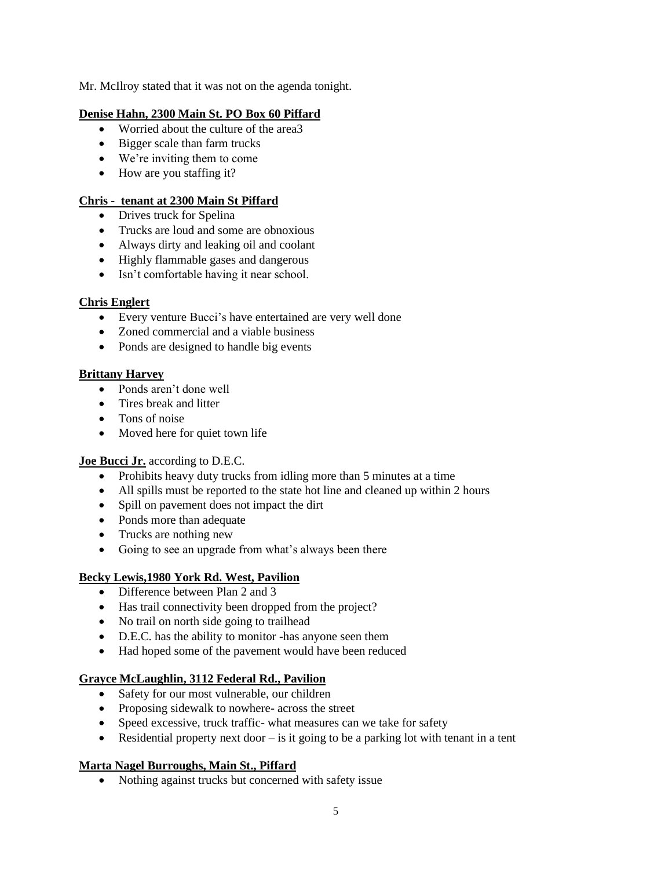Mr. McIlroy stated that it was not on the agenda tonight.

### **Denise Hahn, 2300 Main St. PO Box 60 Piffard**

- Worried about the culture of the area 3
- Bigger scale than farm trucks
- We're inviting them to come
- How are you staffing it?

### **Chris - tenant at 2300 Main St Piffard**

- Drives truck for Spelina
- Trucks are loud and some are obnoxious
- Always dirty and leaking oil and coolant
- Highly flammable gases and dangerous
- Isn't comfortable having it near school.

### **Chris Englert**

- Every venture Bucci's have entertained are very well done
- Zoned commercial and a viable business
- Ponds are designed to handle big events

### **Brittany Harvey**

- Ponds aren't done well
- Tires break and litter
- Tons of noise
- Moved here for quiet town life

#### **Joe Bucci Jr.** according to D.E.C.

- Prohibits heavy duty trucks from idling more than 5 minutes at a time
- All spills must be reported to the state hot line and cleaned up within 2 hours
- Spill on pavement does not impact the dirt
- Ponds more than adequate
- Trucks are nothing new
- Going to see an upgrade from what's always been there

#### **Becky Lewis,1980 York Rd. West, Pavilion**

- Difference between Plan 2 and 3
- Has trail connectivity been dropped from the project?
- No trail on north side going to trailhead
- D.E.C. has the ability to monitor -has anyone seen them
- Had hoped some of the pavement would have been reduced

# **Grayce McLaughlin, 3112 Federal Rd., Pavilion**

- Safety for our most vulnerable, our children
- Proposing sidewalk to nowhere- across the street
- Speed excessive, truck traffic- what measures can we take for safety
- Residential property next door  $-\overline{\phantom{a}}$  is it going to be a parking lot with tenant in a tent

#### **Marta Nagel Burroughs, Main St., Piffard**

• Nothing against trucks but concerned with safety issue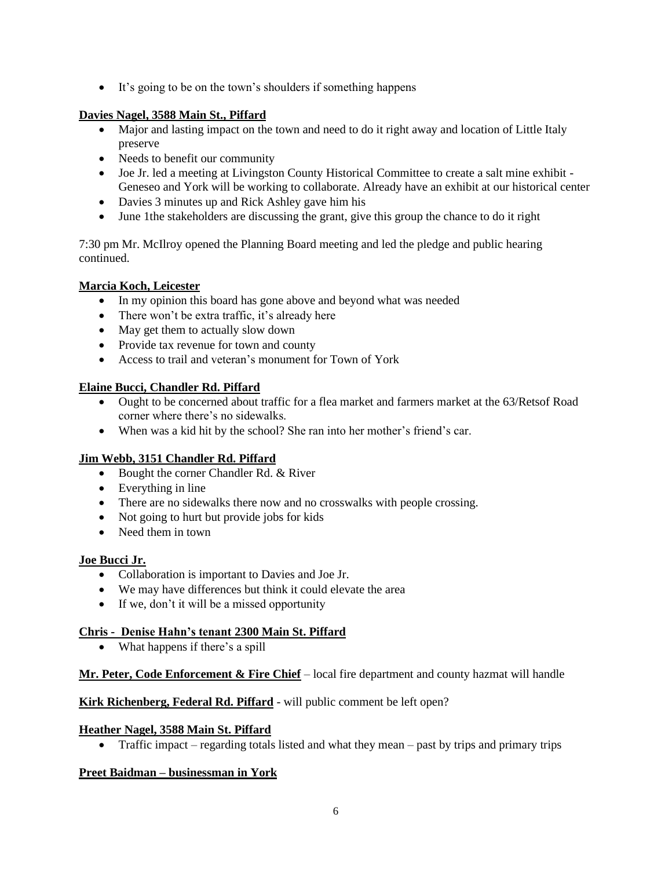• It's going to be on the town's shoulders if something happens

# **Davies Nagel, 3588 Main St., Piffard**

- Major and lasting impact on the town and need to do it right away and location of Little Italy preserve
- Needs to benefit our community
- Joe Jr. led a meeting at Livingston County Historical Committee to create a salt mine exhibit Geneseo and York will be working to collaborate. Already have an exhibit at our historical center
- Davies 3 minutes up and Rick Ashley gave him his
- June 1the stakeholders are discussing the grant, give this group the chance to do it right

7:30 pm Mr. McIlroy opened the Planning Board meeting and led the pledge and public hearing continued.

# **Marcia Koch, Leicester**

- In my opinion this board has gone above and beyond what was needed
- There won't be extra traffic, it's already here
- May get them to actually slow down
- Provide tax revenue for town and county
- Access to trail and veteran's monument for Town of York

# **Elaine Bucci, Chandler Rd. Piffard**

- Ought to be concerned about traffic for a flea market and farmers market at the 63/Retsof Road corner where there's no sidewalks.
- When was a kid hit by the school? She ran into her mother's friend's car.

# **Jim Webb, 3151 Chandler Rd. Piffard**

- Bought the corner Chandler Rd. & River
- Everything in line
- There are no sidewalks there now and no crosswalks with people crossing.
- Not going to hurt but provide jobs for kids
- Need them in town

# **Joe Bucci Jr.**

- Collaboration is important to Davies and Joe Jr.
- We may have differences but think it could elevate the area
- If we, don't it will be a missed opportunity

#### **Chris - Denise Hahn's tenant 2300 Main St. Piffard**

• What happens if there's a spill

# **Mr. Peter, Code Enforcement & Fire Chief** – local fire department and county hazmat will handle

### **Kirk Richenberg, Federal Rd. Piffard** - will public comment be left open?

#### **Heather Nagel, 3588 Main St. Piffard**

• Traffic impact – regarding totals listed and what they mean – past by trips and primary trips

# **Preet Baidman – businessman in York**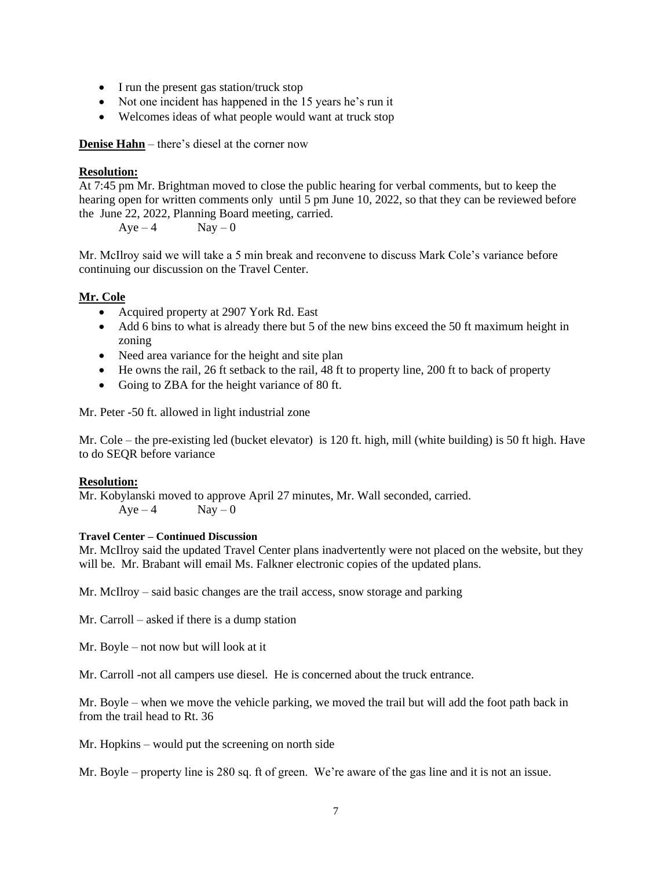- I run the present gas station/truck stop
- Not one incident has happened in the 15 years he's run it
- Welcomes ideas of what people would want at truck stop

**Denise Hahn** – there's diesel at the corner now

### **Resolution:**

At 7:45 pm Mr. Brightman moved to close the public hearing for verbal comments, but to keep the hearing open for written comments only until 5 pm June 10, 2022, so that they can be reviewed before the June 22, 2022, Planning Board meeting, carried.

 $Aye - 4$   $Nay - 0$ 

Mr. McIlroy said we will take a 5 min break and reconvene to discuss Mark Cole's variance before continuing our discussion on the Travel Center.

### **Mr. Cole**

- Acquired property at 2907 York Rd. East
- Add 6 bins to what is already there but 5 of the new bins exceed the 50 ft maximum height in zoning
- Need area variance for the height and site plan
- He owns the rail, 26 ft setback to the rail, 48 ft to property line, 200 ft to back of property
- Going to ZBA for the height variance of 80 ft.

Mr. Peter -50 ft. allowed in light industrial zone

Mr. Cole – the pre-existing led (bucket elevator) is 120 ft. high, mill (white building) is 50 ft high. Have to do SEQR before variance

#### **Resolution:**

Mr. Kobylanski moved to approve April 27 minutes, Mr. Wall seconded, carried.  $Ave - 4$   $Nav - 0$ 

#### **Travel Center – Continued Discussion**

Mr. McIlroy said the updated Travel Center plans inadvertently were not placed on the website, but they will be. Mr. Brabant will email Ms. Falkner electronic copies of the updated plans.

Mr. McIlroy – said basic changes are the trail access, snow storage and parking

Mr. Carroll – asked if there is a dump station

Mr. Boyle – not now but will look at it

Mr. Carroll -not all campers use diesel. He is concerned about the truck entrance.

Mr. Boyle – when we move the vehicle parking, we moved the trail but will add the foot path back in from the trail head to Rt. 36

Mr. Hopkins – would put the screening on north side

Mr. Boyle – property line is 280 sq. ft of green. We're aware of the gas line and it is not an issue.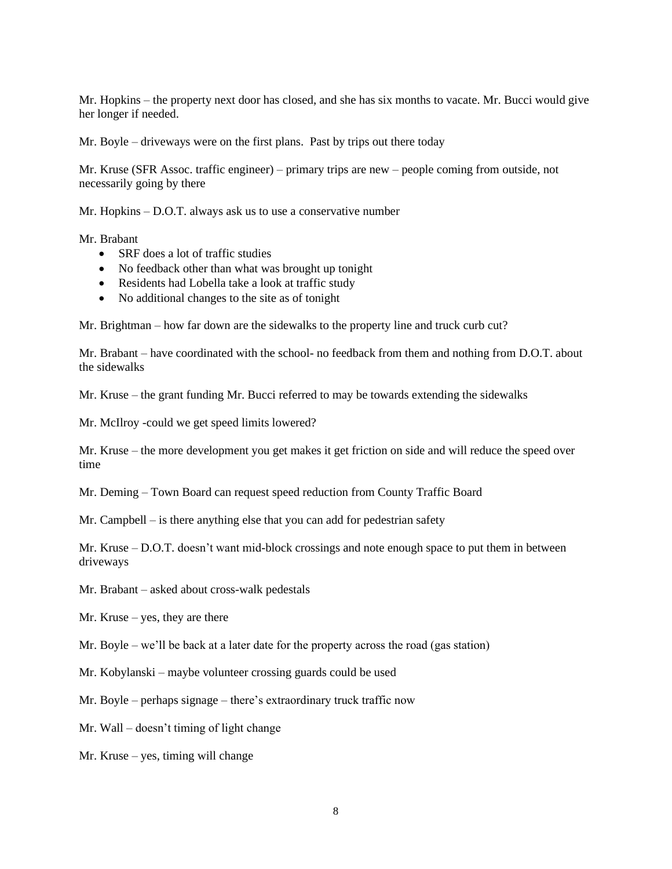Mr. Hopkins – the property next door has closed, and she has six months to vacate. Mr. Bucci would give her longer if needed.

Mr. Boyle – driveways were on the first plans. Past by trips out there today

Mr. Kruse (SFR Assoc. traffic engineer) – primary trips are new – people coming from outside, not necessarily going by there

Mr. Hopkins – D.O.T. always ask us to use a conservative number

Mr. Brabant

- SRF does a lot of traffic studies
- No feedback other than what was brought up tonight
- Residents had Lobella take a look at traffic study
- No additional changes to the site as of tonight

Mr. Brightman – how far down are the sidewalks to the property line and truck curb cut?

Mr. Brabant – have coordinated with the school- no feedback from them and nothing from D.O.T. about the sidewalks

Mr. Kruse – the grant funding Mr. Bucci referred to may be towards extending the sidewalks

Mr. McIlroy -could we get speed limits lowered?

Mr. Kruse – the more development you get makes it get friction on side and will reduce the speed over time

Mr. Deming – Town Board can request speed reduction from County Traffic Board

Mr. Campbell – is there anything else that you can add for pedestrian safety

Mr. Kruse – D.O.T. doesn't want mid-block crossings and note enough space to put them in between driveways

Mr. Brabant – asked about cross-walk pedestals

Mr. Kruse – yes, they are there

Mr. Boyle – we'll be back at a later date for the property across the road (gas station)

Mr. Kobylanski – maybe volunteer crossing guards could be used

Mr. Boyle – perhaps signage – there's extraordinary truck traffic now

Mr. Wall – doesn't timing of light change

Mr. Kruse – yes, timing will change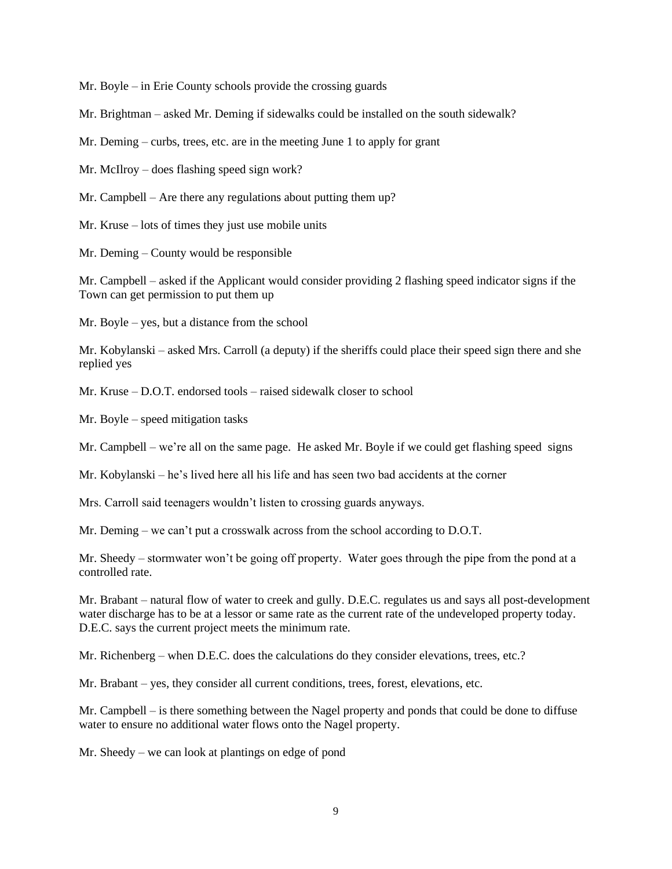Mr. Boyle – in Erie County schools provide the crossing guards

Mr. Brightman – asked Mr. Deming if sidewalks could be installed on the south sidewalk?

Mr. Deming – curbs, trees, etc. are in the meeting June 1 to apply for grant

Mr. McIlroy – does flashing speed sign work?

Mr. Campbell – Are there any regulations about putting them up?

Mr. Kruse – lots of times they just use mobile units

Mr. Deming – County would be responsible

Mr. Campbell – asked if the Applicant would consider providing 2 flashing speed indicator signs if the Town can get permission to put them up

Mr. Boyle – yes, but a distance from the school

Mr. Kobylanski – asked Mrs. Carroll (a deputy) if the sheriffs could place their speed sign there and she replied yes

Mr. Kruse – D.O.T. endorsed tools – raised sidewalk closer to school

Mr. Boyle – speed mitigation tasks

Mr. Campbell – we're all on the same page. He asked Mr. Boyle if we could get flashing speed signs

Mr. Kobylanski – he's lived here all his life and has seen two bad accidents at the corner

Mrs. Carroll said teenagers wouldn't listen to crossing guards anyways.

Mr. Deming – we can't put a crosswalk across from the school according to D.O.T.

Mr. Sheedy – stormwater won't be going off property. Water goes through the pipe from the pond at a controlled rate.

Mr. Brabant – natural flow of water to creek and gully. D.E.C. regulates us and says all post-development water discharge has to be at a lessor or same rate as the current rate of the undeveloped property today. D.E.C. says the current project meets the minimum rate.

Mr. Richenberg – when D.E.C. does the calculations do they consider elevations, trees, etc.?

Mr. Brabant – yes, they consider all current conditions, trees, forest, elevations, etc.

Mr. Campbell – is there something between the Nagel property and ponds that could be done to diffuse water to ensure no additional water flows onto the Nagel property.

Mr. Sheedy – we can look at plantings on edge of pond